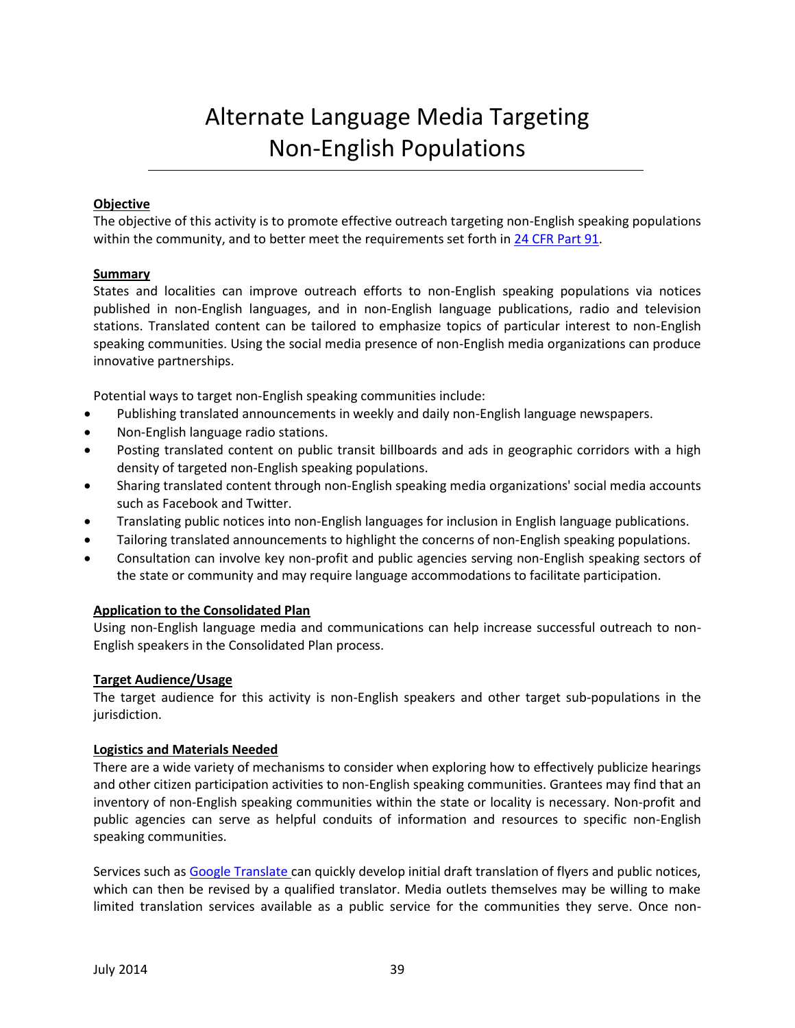# Alternate Language Media Targeting Non-English Populations

### **Objective**

The objective of this activity is to promote effective outreach targeting non-English speaking populations within the community, and to better meet the requirements set forth in [24 CFR Part 91.](http://www.ecfr.gov/cgi-bin/text-idx?c=ecfr&SID=50baf95c9e5da4e8bf465e2c9011035a&rgn=div8&view=text&node=24:1.1.1.1.40.2.87.2&idno=24)

#### **Summary**

States and localities can improve outreach efforts to non-English speaking populations via notices published in non-English languages, and in non-English language publications, radio and television stations. Translated content can be tailored to emphasize topics of particular interest to non-English speaking communities. Using the social media presence of non-English media organizations can produce innovative partnerships.

Potential ways to target non-English speaking communities include:

- Publishing translated announcements in weekly and daily non-English language newspapers.
- Non-English language radio stations.
- Posting translated content on public transit billboards and ads in geographic corridors with a high density of targeted non-English speaking populations.
- Sharing translated content through non-English speaking media organizations' social media accounts such as Facebook and Twitter.
- Translating public notices into non-English languages for inclusion in English language publications.
- Tailoring translated announcements to highlight the concerns of non-English speaking populations.
- Consultation can involve key non-profit and public agencies serving non-English speaking sectors of the state or community and may require language accommodations to facilitate participation.

#### **Application to the Consolidated Plan**

Using non-English language media and communications can help increase successful outreach to non-English speakers in the Consolidated Plan process.

#### **Target Audience/Usage**

The target audience for this activity is non-English speakers and other target sub-populations in the jurisdiction.

#### **Logistics and Materials Needed**

There are a wide variety of mechanisms to consider when exploring how to effectively publicize hearings and other citizen participation activities to non-English speaking communities. Grantees may find that an inventory of non-English speaking communities within the state or locality is necessary. Non-profit and public agencies can serve as helpful conduits of information and resources to specific non-English speaking communities.

Services such as [Google Translate](http://translate.google.com/) can quickly develop initial draft translation of flyers and public notices, which can then be revised by a qualified translator. Media outlets themselves may be willing to make limited translation services available as a public service for the communities they serve. Once non